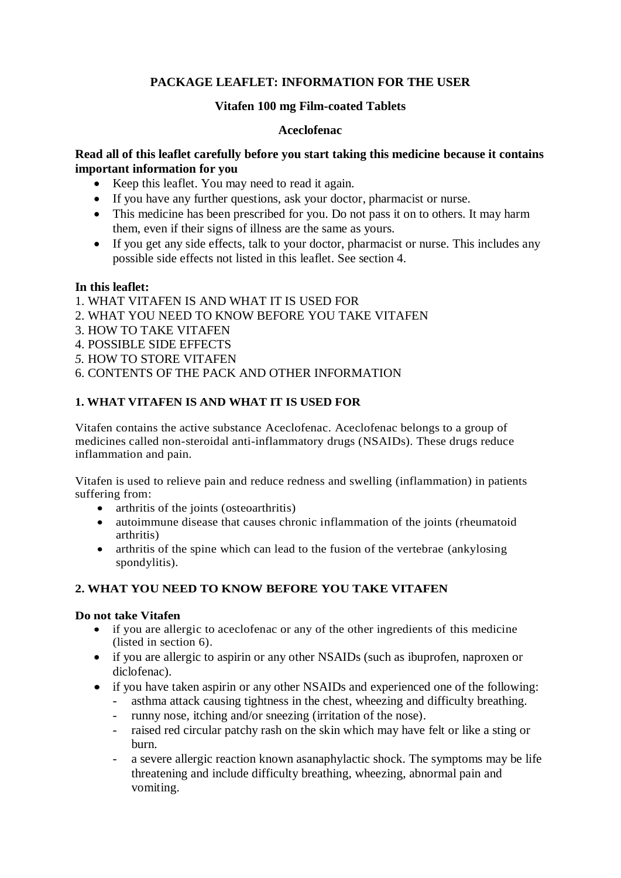# **PACKAGE LEAFLET: INFORMATION FOR THE USER**

## **Vitafen 100 mg Film-coated Tablets**

## **Aceclofenac**

## **Read all of this leaflet carefully before you start taking this medicine because it contains important information for you**

- Keep this leaflet. You may need to read it again.
- If you have any further questions, ask your doctor, pharmacist or nurse.
- This medicine has been prescribed for you. Do not pass it on to others. It may harm them, even if their signs of illness are the same as yours.
- If you get any side effects, talk to your doctor, pharmacist or nurse. This includes any possible side effects not listed in this leaflet. See section 4.

## **In this leaflet:**

- 1. WHAT VITAFEN IS AND WHAT IT IS USED FOR
- 2. WHAT YOU NEED TO KNOW BEFORE YOU TAKE VITAFEN
- 3. HOW TO TAKE VITAFEN
- 4. POSSIBLE SIDE EFFECTS
- *5.* HOW TO STORE VITAFEN
- 6. CONTENTS OF THE PACK AND OTHER INFORMATION

# **1. WHAT VITAFEN IS AND WHAT IT IS USED FOR**

Vitafen contains the active substance Aceclofenac. Aceclofenac belongs to a group of medicines called non-steroidal anti-inflammatory drugs (NSAIDs). These drugs reduce inflammation and pain.

Vitafen is used to relieve pain and reduce redness and swelling (inflammation) in patients suffering from:

- arthritis of the joints (osteoarthritis)
- autoimmune disease that causes chronic inflammation of the joints (rheumatoid arthritis)
- arthritis of the spine which can lead to the fusion of the vertebrae (ankylosing spondylitis).

# **2. WHAT YOU NEED TO KNOW BEFORE YOU TAKE VITAFEN**

### **Do not take Vitafen**

- if you are allergic to aceclofenac or any of the other ingredients of this medicine (listed in section 6).
- if you are allergic to aspirin or any other NSAIDs (such as ibuprofen, naproxen or diclofenac).
- if you have taken aspirin or any other NSAIDs and experienced one of the following:
	- asthma attack causing tightness in the chest, wheezing and difficulty breathing.
	- runny nose, itching and/or sneezing (irritation of the nose).
	- raised red circular patchy rash on the skin which may have felt or like a sting or burn.
	- a severe allergic reaction known asanaphylactic shock. The symptoms may be life threatening and include difficulty breathing, wheezing, abnormal pain and vomiting.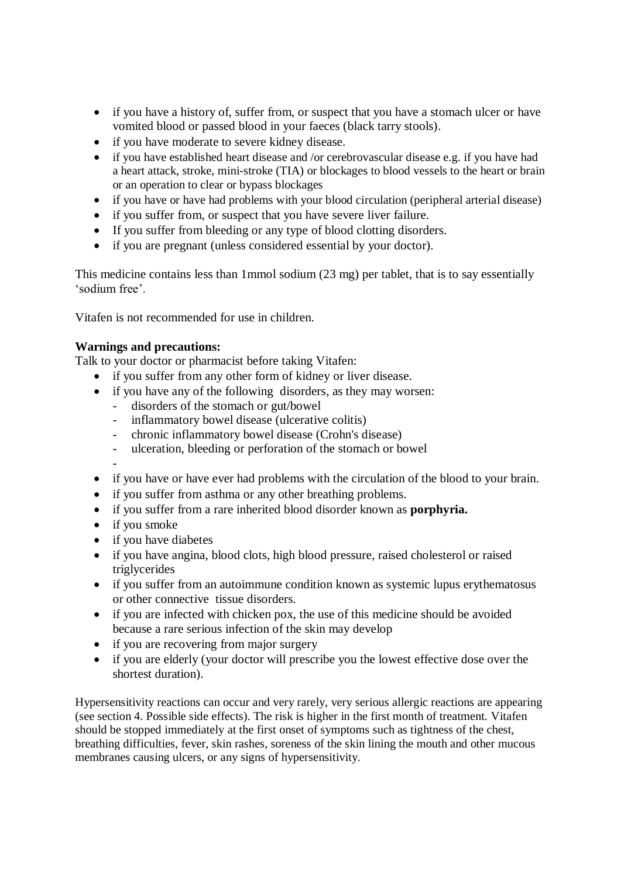- if you have a history of, suffer from, or suspect that you have a stomach ulcer or have vomited blood or passed blood in your faeces (black tarry stools).
- if you have moderate to severe kidney disease.
- if you have established heart disease and /or cerebrovascular disease e.g. if you have had a heart attack, stroke, mini-stroke (TIA) or blockages to blood vessels to the heart or brain or an operation to clear or bypass blockages
- if you have or have had problems with your blood circulation (peripheral arterial disease)
- if you suffer from, or suspect that you have severe liver failure.
- If you suffer from bleeding or any type of blood clotting disorders.
- if you are pregnant (unless considered essential by your doctor).

This medicine contains less than 1mmol sodium (23 mg) per tablet, that is to say essentially 'sodium free'.

Vitafen is not recommended for use in children.

## **Warnings and precautions:**

Talk to your doctor or pharmacist before taking Vitafen:

- if you suffer from any other form of kidney or liver disease.
- if you have any of the following disorders, as they may worsen:
	- disorders of the stomach or gut/bowel
	- inflammatory bowel disease (ulcerative colitis)
	- chronic inflammatory bowel disease (Crohn's disease)
	- ulceration, bleeding or perforation of the stomach or bowel
	-
- -
- if you have or have ever had problems with the circulation of the blood to your brain.
- if you suffer from asthma or any other breathing problems.
- if you suffer from a rare inherited blood disorder known as **porphyria.**
- if you smoke
- if you have diabetes
- if you have angina, blood clots, high blood pressure, raised cholesterol or raised triglycerides
- if you suffer from an autoimmune condition known as systemic lupus erythematosus or other connective tissue disorders.
- if you are infected with chicken pox, the use of this medicine should be avoided because a rare serious infection of the skin may develop
- if you are recovering from major surgery
- if you are elderly (your doctor will prescribe you the lowest effective dose over the shortest duration).

Hypersensitivity reactions can occur and very rarely, very serious allergic reactions are appearing (see section 4. Possible side effects). The risk is higher in the first month of treatment. Vitafen should be stopped immediately at the first onset of symptoms such as tightness of the chest, breathing difficulties, fever, skin rashes, soreness of the skin lining the mouth and other mucous membranes causing ulcers, or any signs of hypersensitivity.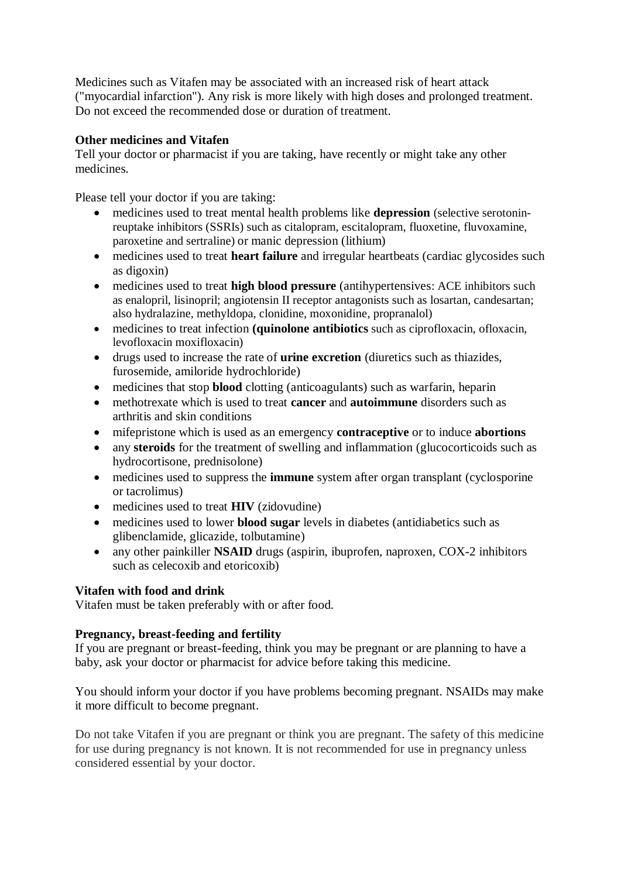Medicines such as Vitafen may be associated with an increased risk of heart attack ("myocardial infarction"). Any risk is more likely with high doses and prolonged treatment. Do not exceed the recommended dose or duration of treatment.

# **Other medicines and Vitafen**

Tell your doctor or pharmacist if you are taking, have recently or might take any other medicines.

Please tell your doctor if you are taking:

- medicines used to treat mental health problems like **depression** (selective serotoninreuptake inhibitors (SSRIs) such as citalopram, escitalopram, fluoxetine, fluvoxamine, paroxetine and sertraline) or manic depression (lithium)
- medicines used to treat **heart failure** and irregular heartbeats (cardiac glycosides such as digoxin)
- medicines used to treat **high blood pressure** (antihypertensives: ACE inhibitors such as enalopril, lisinopril; angiotensin II receptor antagonists such as losartan, candesartan; also hydralazine, methyldopa, clonidine, moxonidine, propranalol)
- medicines to treat infection **(quinolone antibiotics** such as ciprofloxacin, ofloxacin, levofloxacin moxifloxacin)
- drugs used to increase the rate of **urine excretion** (diuretics such as thiazides, furosemide, amiloride hydrochloride)
- medicines that stop **blood** clotting (anticoagulants) such as warfarin, heparin
- methotrexate which is used to treat **cancer** and **autoimmune** disorders such as arthritis and skin conditions
- mifepristone which is used as an emergency **contraceptive** or to induce **abortions**
- any **steroids** for the treatment of swelling and inflammation (glucocorticoids such as hydrocortisone, prednisolone)
- medicines used to suppress the **immune** system after organ transplant (cyclosporine or tacrolimus)
- medicines used to treat **HIV** (zidovudine)
- medicines used to lower **blood sugar** levels in diabetes (antidiabetics such as glibenclamide, glicazide, tolbutamine)
- any other painkiller **NSAID** drugs (aspirin, ibuprofen, naproxen, COX-2 inhibitors such as celecoxib and etoricoxib)

# **Vitafen with food and drink**

Vitafen must be taken preferably with or after food.

# **Pregnancy, breast-feeding and fertility**

If you are pregnant or breast-feeding, think you may be pregnant or are planning to have a baby, ask your doctor or pharmacist for advice before taking this medicine.

You should inform your doctor if you have problems becoming pregnant. NSAIDs may make it more difficult to become pregnant.

Do not take Vitafen if you are pregnant or think you are pregnant. The safety of this medicine for use during pregnancy is not known. It is not recommended for use in pregnancy unless considered essential by your doctor.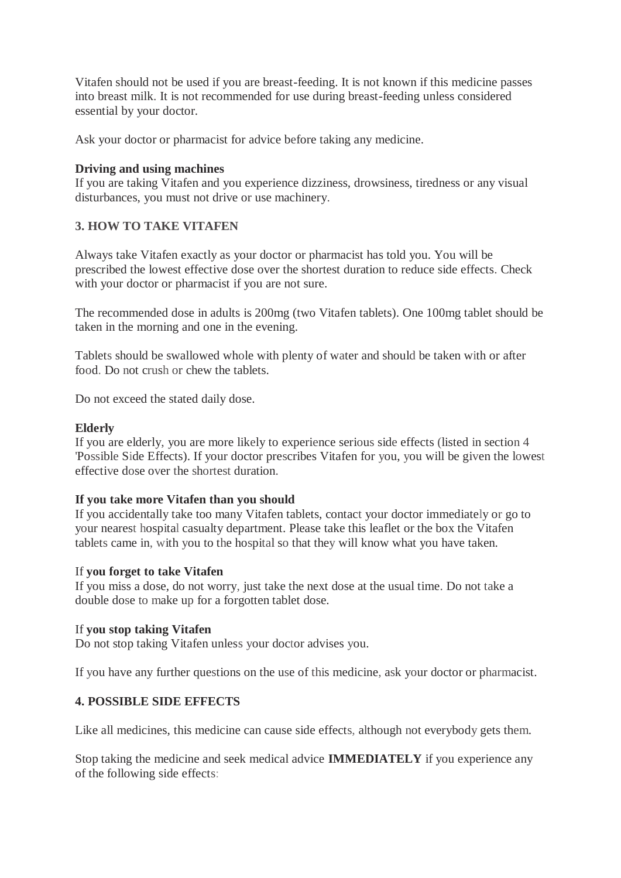Vitafen should not be used if you are breast-feeding. It is not known if this medicine passes into breast milk. It is not recommended for use during breast-feeding unless considered essential by your doctor.

Ask your doctor or pharmacist for advice before taking any medicine.

## **Driving and using machines**

If you are taking Vitafen and you experience dizziness, drowsiness, tiredness or any visual disturbances, you must not drive or use machinery.

# **3. HOW TO TAKE VITAFEN**

Always take Vitafen exactly as your doctor or pharmacist has told you. You will be prescribed the lowest effective dose over the shortest duration to reduce side effects. Check with your doctor or pharmacist if you are not sure.

The recommended dose in adults is 200mg (two Vitafen tablets). One 100mg tablet should be taken in the morning and one in the evening.

Tablets should be swallowed whole with plenty of water and should be taken with or after food. Do not crush or chew the tablets.

Do not exceed the stated daily dose.

## **Elderly**

If you are elderly, you are more likely to experience serious side effects (listed in section 4 'Possible Side Effects). If your doctor prescribes Vitafen for you, you will be given the lowest effective dose over the shortest duration.

### **If you take more Vitafen than you should**

If you accidentally take too many Vitafen tablets, contact your doctor immediately or go to your nearest hospital casualty department. Please take this leaflet or the box the Vitafen tablets came in, with you to the hospital so that they will know what you have taken.

### If **you forget to take Vitafen**

If you miss a dose, do not worry, just take the next dose at the usual time. Do not take a double dose to make up for a forgotten tablet dose.

# If **you stop taking Vitafen**

Do not stop taking Vitafen unless your doctor advises you.

If you have any further questions on the use of this medicine, ask your doctor or pharmacist.

# **4. POSSIBLE SIDE EFFECTS**

Like all medicines, this medicine can cause side effects, although not everybody gets them.

Stop taking the medicine and seek medical advice **IMMEDIATELY** if you experience any of the following side effects: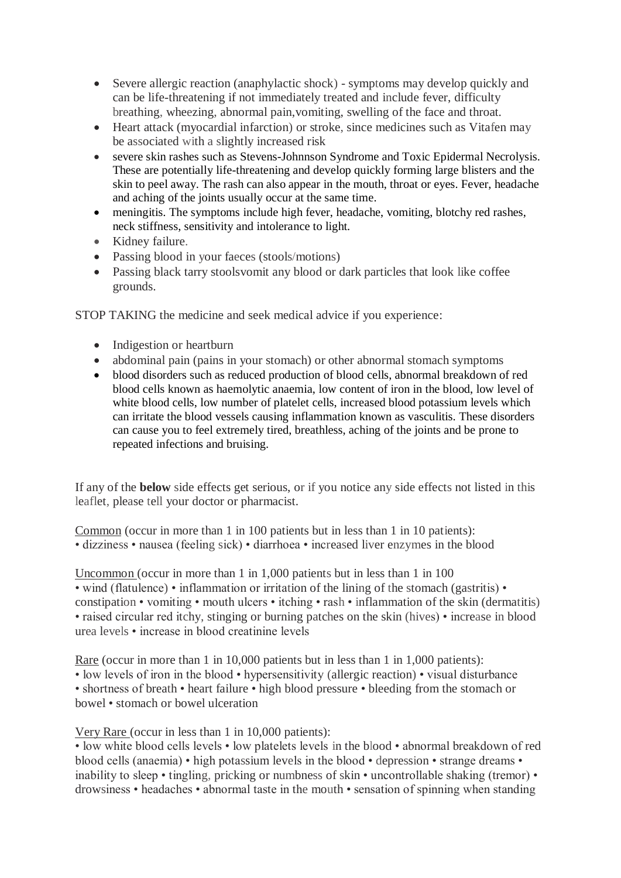- Severe allergic reaction (anaphylactic shock) symptoms may develop quickly and can be life-threatening if not immediately treated and include fever, difficulty breathing, wheezing, abnormal pain,vomiting, swelling of the face and throat.
- Heart attack (myocardial infarction) or stroke, since medicines such as Vitafen may be associated with a slightly increased risk
- severe skin rashes such as Stevens-Johnnson Syndrome and Toxic Epidermal Necrolysis. These are potentially life-threatening and develop quickly forming large blisters and the skin to peel away. The rash can also appear in the mouth, throat or eyes. Fever, headache and aching of the joints usually occur at the same time.
- meningitis. The symptoms include high fever, headache, vomiting, blotchy red rashes, neck stiffness, sensitivity and intolerance to light.
- Kidney failure.
- Passing blood in your faeces (stools/motions)
- Passing black tarry stoolsvomit any blood or dark particles that look like coffee grounds.

STOP TAKING the medicine and seek medical advice if you experience:

- Indigestion or heartburn
- abdominal pain (pains in your stomach) or other abnormal stomach symptoms
- blood disorders such as reduced production of blood cells, abnormal breakdown of red blood cells known as haemolytic anaemia, low content of iron in the blood, low level of white blood cells, low number of platelet cells, increased blood potassium levels which can irritate the blood vessels causing inflammation known as vasculitis. These disorders can cause you to feel extremely tired, breathless, aching of the joints and be prone to repeated infections and bruising.

If any of the **below** side effects get serious, or if you notice any side effects not listed in this leaflet, please tell your doctor or pharmacist.

Common (occur in more than 1 in 100 patients but in less than 1 in 10 patients): • dizziness • nausea (feeling sick) • diarrhoea • increased liver enzymes in the blood

Uncommon (occur in more than 1 in 1,000 patients but in less than 1 in 100 • wind (flatulence) • inflammation or irritation of the lining of the stomach (gastritis) • constipation • vomiting • mouth ulcers • itching • rash • inflammation of the skin (dermatitis) • raised circular red itchy, stinging or burning patches on the skin (hives) • increase in blood urea levels • increase in blood creatinine levels

Rare (occur in more than 1 in 10,000 patients but in less than 1 in 1,000 patients): • low levels of iron in the blood • hypersensitivity (allergic reaction) • visual disturbance • shortness of breath • heart failure • high blood pressure • bleeding from the stomach or bowel • stomach or bowel ulceration

Very Rare (occur in less than 1 in 10,000 patients):

• low white blood cells levels • low platelets levels in the blood • abnormal breakdown of red blood cells (anaemia) • high potassium levels in the blood • depression • strange dreams • inability to sleep • tingling, pricking or numbness of skin • uncontrollable shaking (tremor) • drowsiness • headaches • abnormal taste in the mouth • sensation of spinning when standing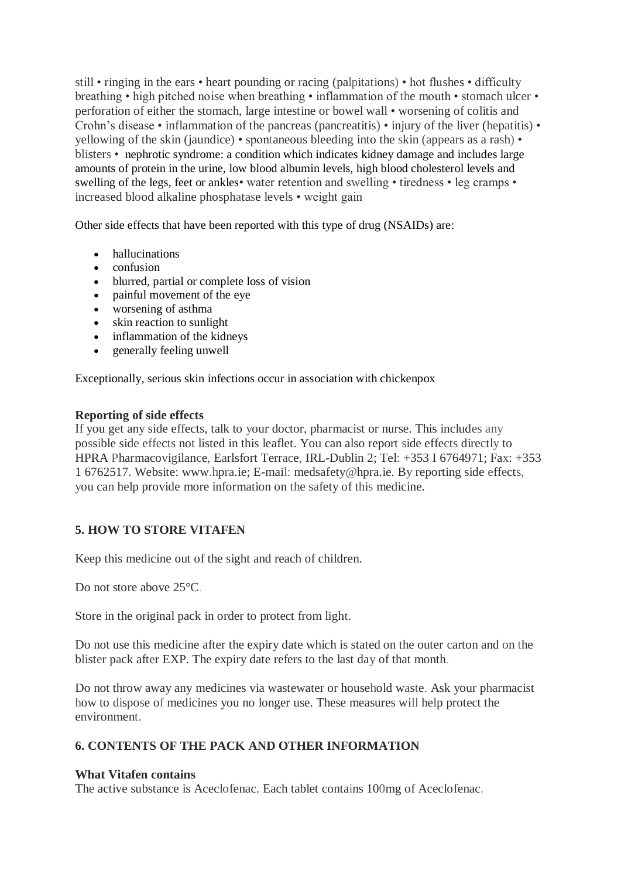still • ringing in the ears • heart pounding or racing (palpitations) • hot flushes • difficulty breathing • high pitched noise when breathing • inflammation of the mouth • stomach ulcer • perforation of either the stomach, large intestine or bowel wall • worsening of colitis and Crohn's disease • inflammation of the pancreas (pancreatitis) • injury of the liver (hepatitis) • yellowing of the skin (jaundice) • spontaneous bleeding into the skin (appears as a rash) • blisters • nephrotic syndrome: a condition which indicates kidney damage and includes large amounts of protein in the urine, low blood albumin levels, high blood cholesterol levels and swelling of the legs, feet or ankles• water retention and swelling • tiredness • leg cramps • increased blood alkaline phosphatase levels • weight gain

Other side effects that have been reported with this type of drug (NSAIDs) are:

- hallucinations
- confusion
- blurred, partial or complete loss of vision
- painful movement of the eye
- worsening of asthma
- skin reaction to sunlight
- inflammation of the kidneys
- generally feeling unwell

Exceptionally, serious skin infections occur in association with chickenpox

### **Reporting of side effects**

If you get any side effects, talk to your doctor, pharmacist or nurse. This includes any possible side effects not listed in this leaflet. You can also report side effects directly to HPRA Pharmacovigilance, Earlsfort Terrace, IRL-Dublin 2; Tel: +353 I 6764971; Fax: +353 1 6762517. Website: www.hpra.ie; E-mail: medsafety@hpra.ie. By reporting side effects, you can help provide more information on the safety of this medicine.

# **5. HOW TO STORE VITAFEN**

Keep this medicine out of the sight and reach of children.

Do not store above 25<sup>o</sup>C.

Store in the original pack in order to protect from light.

Do not use this medicine after the expiry date which is stated on the outer carton and on the blister pack after EXP. The expiry date refers to the last day of that month.

Do not throw away any medicines via wastewater or household waste. Ask your pharmacist how to dispose of medicines you no longer use. These measures will help protect the environment.

# **6. CONTENTS OF THE PACK AND OTHER INFORMATION**

### **What Vitafen contains**

The active substance is Aceclofenac. Each tablet contains 100mg of Aceclofenac.